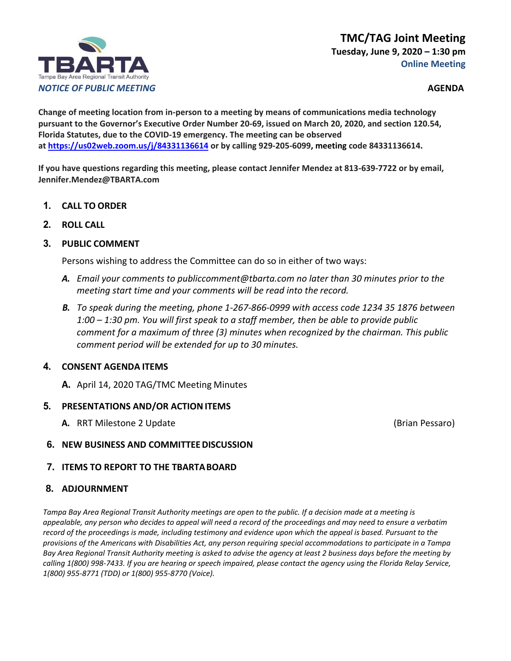# **TMC/TAG Joint Meeting Tuesday, June 9, 2020 – 1:30 pm Online Meeting**



**Change of meeting location from in-person to a meeting by means of communications media technology pursuant to the Governor's Executive Order Number 20-69, issued on March 20, 2020, and section 120.54, Florida Statutes, due to the COVID-19 emergency. The meeting can be observed a[t https://us02web.zoom.us/j/84331136614](https://us02web.zoom.us/j/84331136614) [o](https://zoom.us/j/505614910)r by calling 929-205-6099, meeting code 84331136614.**

**If you have questions regarding this meeting, please contact Jennifer Mendez at 813-639-7722 or by email, [Jennifer.Mendez@TBARTA.com](mailto:Jennifer.Mendez@TBARTA.com)**

- **1. CALL TO ORDER**
- **2. ROLL CALL**
- **3. PUBLIC COMMENT**

Persons wishing to address the Committee can do so in either of two ways:

- *A. Email your comments t[o publiccomment@tbarta.com](mailto:publiccomment@tbarta.com) no later than 30 minutes prior to the meeting start time and your comments will be read into the record.*
- *B. To speak during the meeting, phone 1-267-866-0999 with access code 1234 35 1876 between 1:00 – 1:30 pm. You will first speak to a staff member, then be able to provide public comment for a maximum of three (3) minutes when recognized by the chairman. This public comment period will be extended for up to 30 minutes.*

## **4. CONSENT AGENDA ITEMS**

**A.** April 14, 2020 TAG/TMC Meeting Minutes

#### **5. PRESENTATIONS AND/OR ACTION ITEMS**

**A.** RRT Milestone 2 Update (Brian Pessaro)

- **6. NEW BUSINESS AND COMMITTEEDISCUSSION**
- **7. ITEMS TO REPORT TO THE TBARTABOARD**

## **8. ADJOURNMENT**

*Tampa Bay Area Regional Transit Authority meetings are open to the public. If a decision made at a meeting is appealable, any person who decides to appeal will need a record of the proceedings and may need to ensure a verbatim record of the proceedings is made, including testimony and evidence upon which the appeal is based. Pursuant to the provisions of the Americans with Disabilities Act, any person requiring special accommodations to participate in a Tampa Bay Area Regional Transit Authority meeting is asked to advise the agency at least 2 business days before the meeting by calling 1(800) 998-7433. If you are hearing or speech impaired, please contact the agency using the Florida Relay Service, 1(800) 955-8771 (TDD) or 1(800) 955-8770 (Voice).*